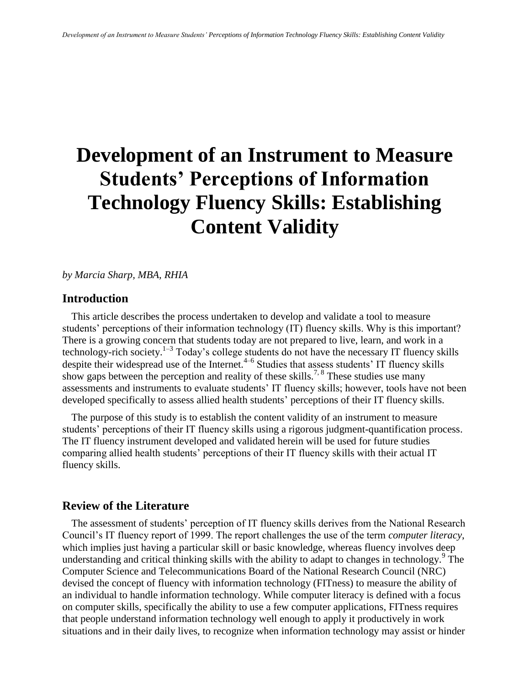# **Development of an Instrument to Measure Students' Perceptions of Information Technology Fluency Skills: Establishing Content Validity**

#### *by Marcia Sharp, MBA, RHIA*

## **Introduction**

This article describes the process undertaken to develop and validate a tool to measure students' perceptions of their information technology (IT) fluency skills. Why is this important? There is a growing concern that students today are not prepared to live, learn, and work in a technology-rich society.<sup>1-3</sup> Today's college students do not have the necessary IT fluency skills despite their widespread use of the Internet.<sup>4-6</sup> Studies that assess students' IT fluency skills show gaps between the perception and reality of these skills.<sup>7, 8</sup> These studies use many assessments and instruments to evaluate students' IT fluency skills; however, tools have not been developed specifically to assess allied health students' perceptions of their IT fluency skills.

The purpose of this study is to establish the content validity of an instrument to measure students' perceptions of their IT fluency skills using a rigorous judgment-quantification process. The IT fluency instrument developed and validated herein will be used for future studies comparing allied health students' perceptions of their IT fluency skills with their actual IT fluency skills.

# **Review of the Literature**

The assessment of students' perception of IT fluency skills derives from the National Research Council's IT fluency report of 1999. The report challenges the use of the term *computer literacy*, which implies just having a particular skill or basic knowledge, whereas fluency involves deep understanding and critical thinking skills with the ability to adapt to changes in technology.<sup>9</sup> The Computer Science and Telecommunications Board of the National Research Council (NRC) devised the concept of fluency with information technology (FITness) to measure the ability of an individual to handle information technology. While computer literacy is defined with a focus on computer skills, specifically the ability to use a few computer applications, FITness requires that people understand information technology well enough to apply it productively in work situations and in their daily lives, to recognize when information technology may assist or hinder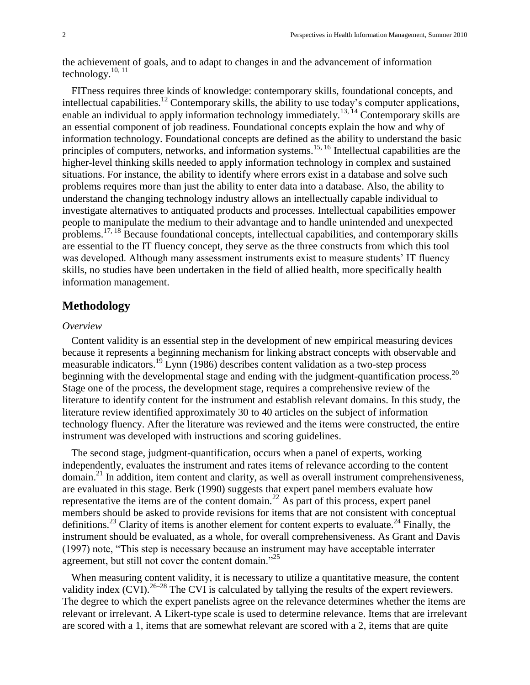the achievement of goals, and to adapt to changes in and the advancement of information technology.<sup>10, 11</sup>

FITness requires three kinds of knowledge: contemporary skills, foundational concepts, and intellectual capabilities.<sup>12</sup> Contemporary skills, the ability to use today's computer applications, enable an individual to apply information technology immediately.<sup>13, 14</sup> Contemporary skills are an essential component of job readiness. Foundational concepts explain the how and why of information technology. Foundational concepts are defined as the ability to understand the basic principles of computers, networks, and information systems.<sup>15, 16</sup> Intellectual capabilities are the higher-level thinking skills needed to apply information technology in complex and sustained situations. For instance, the ability to identify where errors exist in a database and solve such problems requires more than just the ability to enter data into a database. Also, the ability to understand the changing technology industry allows an intellectually capable individual to investigate alternatives to antiquated products and processes. Intellectual capabilities empower people to manipulate the medium to their advantage and to handle unintended and unexpected problems.<sup>17, 18</sup> Because foundational concepts, intellectual capabilities, and contemporary skills are essential to the IT fluency concept, they serve as the three constructs from which this tool was developed. Although many assessment instruments exist to measure students' IT fluency skills, no studies have been undertaken in the field of allied health, more specifically health information management.

## **Methodology**

#### *Overview*

Content validity is an essential step in the development of new empirical measuring devices because it represents a beginning mechanism for linking abstract concepts with observable and measurable indicators.<sup>19</sup> Lynn (1986) describes content validation as a two-step process beginning with the developmental stage and ending with the judgment-quantification process.<sup>20</sup> Stage one of the process, the development stage, requires a comprehensive review of the literature to identify content for the instrument and establish relevant domains. In this study, the literature review identified approximately 30 to 40 articles on the subject of information technology fluency. After the literature was reviewed and the items were constructed, the entire instrument was developed with instructions and scoring guidelines.

The second stage, judgment-quantification, occurs when a panel of experts, working independently, evaluates the instrument and rates items of relevance according to the content domain.<sup>21</sup> In addition, item content and clarity, as well as overall instrument comprehensiveness, are evaluated in this stage. Berk (1990) suggests that expert panel members evaluate how representative the items are of the content domain.<sup>22</sup> As part of this process, expert panel members should be asked to provide revisions for items that are not consistent with conceptual definitions.<sup>23</sup> Clarity of items is another element for content experts to evaluate.<sup>24</sup> Finally, the instrument should be evaluated, as a whole, for overall comprehensiveness. As Grant and Davis (1997) note, "This step is necessary because an instrument may have acceptable interrater agreement, but still not cover the content domain."<sup>25</sup>

When measuring content validity, it is necessary to utilize a quantitative measure, the content validity index  $(CVI)$ . <sup>26–28</sup> The CVI is calculated by tallying the results of the expert reviewers. The degree to which the expert panelists agree on the relevance determines whether the items are relevant or irrelevant. A Likert-type scale is used to determine relevance. Items that are irrelevant are scored with a 1, items that are somewhat relevant are scored with a 2, items that are quite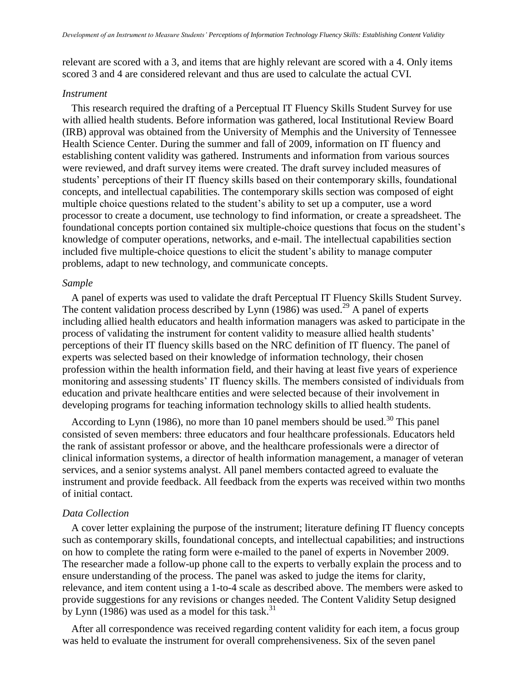relevant are scored with a 3, and items that are highly relevant are scored with a 4. Only items scored 3 and 4 are considered relevant and thus are used to calculate the actual CVI.

#### *Instrument*

This research required the drafting of a Perceptual IT Fluency Skills Student Survey for use with allied health students. Before information was gathered, local Institutional Review Board (IRB) approval was obtained from the University of Memphis and the University of Tennessee Health Science Center. During the summer and fall of 2009, information on IT fluency and establishing content validity was gathered. Instruments and information from various sources were reviewed, and draft survey items were created. The draft survey included measures of students' perceptions of their IT fluency skills based on their contemporary skills, foundational concepts, and intellectual capabilities. The contemporary skills section was composed of eight multiple choice questions related to the student's ability to set up a computer, use a word processor to create a document, use technology to find information, or create a spreadsheet. The foundational concepts portion contained six multiple-choice questions that focus on the student's knowledge of computer operations, networks, and e-mail. The intellectual capabilities section included five multiple-choice questions to elicit the student's ability to manage computer problems, adapt to new technology, and communicate concepts.

#### *Sample*

A panel of experts was used to validate the draft Perceptual IT Fluency Skills Student Survey. The content validation process described by Lynn (1986) was used.<sup>29</sup> A panel of experts including allied health educators and health information managers was asked to participate in the process of validating the instrument for content validity to measure allied health students' perceptions of their IT fluency skills based on the NRC definition of IT fluency. The panel of experts was selected based on their knowledge of information technology, their chosen profession within the health information field, and their having at least five years of experience monitoring and assessing students' IT fluency skills. The members consisted of individuals from education and private healthcare entities and were selected because of their involvement in developing programs for teaching information technology skills to allied health students.

According to Lynn (1986), no more than 10 panel members should be used.<sup>30</sup> This panel consisted of seven members: three educators and four healthcare professionals. Educators held the rank of assistant professor or above, and the healthcare professionals were a director of clinical information systems, a director of health information management, a manager of veteran services, and a senior systems analyst. All panel members contacted agreed to evaluate the instrument and provide feedback. All feedback from the experts was received within two months of initial contact.

#### *Data Collection*

A cover letter explaining the purpose of the instrument; literature defining IT fluency concepts such as contemporary skills, foundational concepts, and intellectual capabilities; and instructions on how to complete the rating form were e-mailed to the panel of experts in November 2009. The researcher made a follow-up phone call to the experts to verbally explain the process and to ensure understanding of the process. The panel was asked to judge the items for clarity, relevance, and item content using a 1-to-4 scale as described above. The members were asked to provide suggestions for any revisions or changes needed. The Content Validity Setup designed by Lynn (1986) was used as a model for this task.<sup>31</sup>

After all correspondence was received regarding content validity for each item, a focus group was held to evaluate the instrument for overall comprehensiveness. Six of the seven panel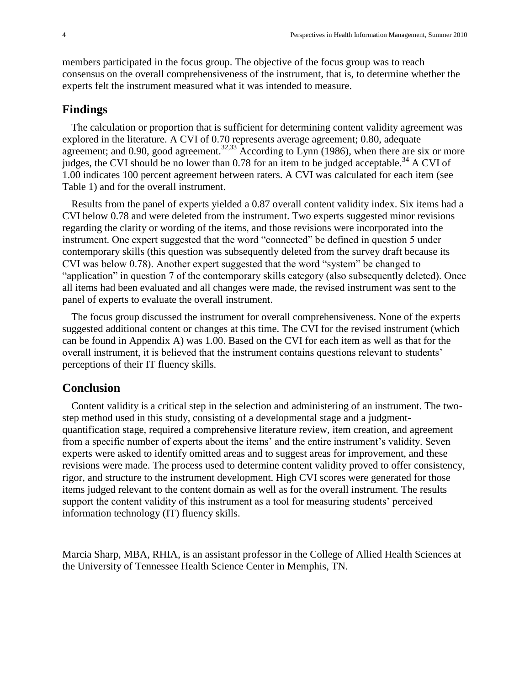members participated in the focus group. The objective of the focus group was to reach consensus on the overall comprehensiveness of the instrument, that is, to determine whether the experts felt the instrument measured what it was intended to measure.

### **Findings**

The calculation or proportion that is sufficient for determining content validity agreement was explored in the literature. A CVI of 0.70 represents average agreement; 0.80, adequate agreement; and 0.90, good agreement.<sup>32,33</sup> According to Lynn (1986), when there are six or more judges, the CVI should be no lower than  $0.78$  for an item to be judged acceptable.<sup>34</sup> A CVI of 1.00 indicates 100 percent agreement between raters. A CVI was calculated for each item (see Table 1) and for the overall instrument.

Results from the panel of experts yielded a 0.87 overall content validity index. Six items had a CVI below 0.78 and were deleted from the instrument. Two experts suggested minor revisions regarding the clarity or wording of the items, and those revisions were incorporated into the instrument. One expert suggested that the word "connected" be defined in question 5 under contemporary skills (this question was subsequently deleted from the survey draft because its CVI was below 0.78). Another expert suggested that the word "system" be changed to "application" in question 7 of the contemporary skills category (also subsequently deleted). Once all items had been evaluated and all changes were made, the revised instrument was sent to the panel of experts to evaluate the overall instrument.

The focus group discussed the instrument for overall comprehensiveness. None of the experts suggested additional content or changes at this time. The CVI for the revised instrument (which can be found in Appendix A) was 1.00. Based on the CVI for each item as well as that for the overall instrument, it is believed that the instrument contains questions relevant to students' perceptions of their IT fluency skills.

## **Conclusion**

Content validity is a critical step in the selection and administering of an instrument. The twostep method used in this study, consisting of a developmental stage and a judgmentquantification stage, required a comprehensive literature review, item creation, and agreement from a specific number of experts about the items' and the entire instrument's validity. Seven experts were asked to identify omitted areas and to suggest areas for improvement, and these revisions were made. The process used to determine content validity proved to offer consistency, rigor, and structure to the instrument development. High CVI scores were generated for those items judged relevant to the content domain as well as for the overall instrument. The results support the content validity of this instrument as a tool for measuring students' perceived information technology (IT) fluency skills.

Marcia Sharp, MBA, RHIA, is an assistant professor in the College of Allied Health Sciences at the University of Tennessee Health Science Center in Memphis, TN.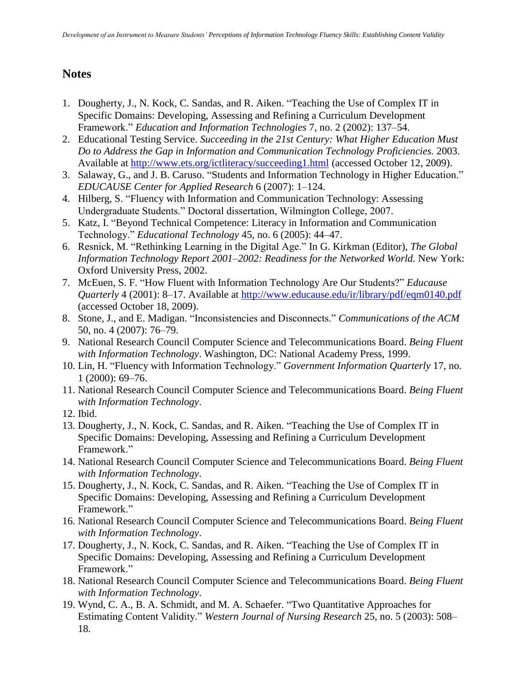# **Notes**

- 1. Dougherty, J., N. Kock, C. Sandas, and R. Aiken. "Teaching the Use of Complex IT in Specific Domains: Developing, Assessing and Refining a Curriculum Development Framework." *Education and Information Technologies* 7, no. 2 (2002): 137–54.
- 2. Educational Testing Service. *Succeeding in the 21st Century: What Higher Education Must Do to Address the Gap in Information and Communication Technology Proficiencies.* 2003. Available at<http://www.ets.org/ictliteracy/succeeding1.html> (accessed October 12, 2009).
- 3. Salaway, G., and J. B. Caruso. "Students and Information Technology in Higher Education." *EDUCAUSE Center for Applied Research* 6 (2007): 1–124.
- 4. Hilberg, S. "Fluency with Information and Communication Technology: Assessing Undergraduate Students." Doctoral dissertation, Wilmington College, 2007.
- 5. Katz, I. "Beyond Technical Competence: Literacy in Information and Communication Technology." *Educational Technology* 45, no. 6 (2005): 44–47.
- 6. Resnick, M. "Rethinking Learning in the Digital Age." In G. Kirkman (Editor), *The Global Information Technology Report 2001–2002: Readiness for the Networked World.* New York: Oxford University Press, 2002.
- 7. McEuen, S. F. "How Fluent with Information Technology Are Our Students?" *Educause Quarterly* 4 (2001): 8–17. Available at<http://www.educause.edu/ir/library/pdf/eqm0140.pdf> (accessed October 18, 2009).
- 8. Stone, J., and E. Madigan. "Inconsistencies and Disconnects." *Communications of the ACM*  50, no. 4 (2007): 76–79.
- 9. National Research Council Computer Science and Telecommunications Board. *Being Fluent with Information Technology*. Washington, DC: National Academy Press, 1999.
- 10. Lin, H. "Fluency with Information Technology." *Government Information Quarterly* 17, no. 1 (2000): 69–76.
- 11. National Research Council Computer Science and Telecommunications Board. *Being Fluent with Information Technology*.
- 12. Ibid.
- 13. Dougherty, J., N. Kock, C. Sandas, and R. Aiken. "Teaching the Use of Complex IT in Specific Domains: Developing, Assessing and Refining a Curriculum Development Framework."
- 14. National Research Council Computer Science and Telecommunications Board. *Being Fluent with Information Technology*.
- 15. Dougherty, J., N. Kock, C. Sandas, and R. Aiken. "Teaching the Use of Complex IT in Specific Domains: Developing, Assessing and Refining a Curriculum Development Framework."
- 16. National Research Council Computer Science and Telecommunications Board. *Being Fluent with Information Technology*.
- 17. Dougherty, J., N. Kock, C. Sandas, and R. Aiken. "Teaching the Use of Complex IT in Specific Domains: Developing, Assessing and Refining a Curriculum Development Framework<sup>"</sup>
- 18. National Research Council Computer Science and Telecommunications Board. *Being Fluent with Information Technology*.
- 19. Wynd, C. A., B. A. Schmidt, and M. A. Schaefer. "Two Quantitative Approaches for Estimating Content Validity." *Western Journal of Nursing Research* 25, no. 5 (2003): 508– 18.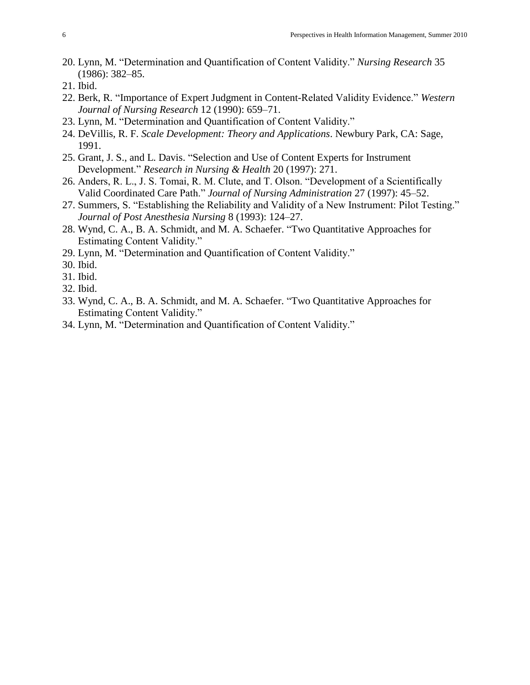- 20. Lynn, M. "Determination and Quantification of Content Validity." *Nursing Research* 35 (1986): 382–85.
- 21. Ibid.
- 22. Berk, R. "Importance of Expert Judgment in Content-Related Validity Evidence." *Western Journal of Nursing Research* 12 (1990): 659–71.
- 23. Lynn, M. "Determination and Quantification of Content Validity."
- 24. DeVillis, R. F. *Scale Development: Theory and Applications*. Newbury Park, CA: Sage, 1991.
- 25. Grant, J. S., and L. Davis. "Selection and Use of Content Experts for Instrument Development." *Research in Nursing & Health* 20 (1997): 271.
- 26. Anders, R. L., J. S. Tomai, R. M. Clute, and T. Olson. "Development of a Scientifically Valid Coordinated Care Path." *Journal of Nursing Administration* 27 (1997): 45–52.
- 27. Summers, S. "Establishing the Reliability and Validity of a New Instrument: Pilot Testing." *Journal of Post Anesthesia Nursing* 8 (1993): 124–27.
- 28. Wynd, C. A., B. A. Schmidt, and M. A. Schaefer. "Two Quantitative Approaches for Estimating Content Validity."
- 29. Lynn, M. "Determination and Quantification of Content Validity."
- 30. Ibid.
- 31. Ibid.
- 32. Ibid.
- 33. Wynd, C. A., B. A. Schmidt, and M. A. Schaefer. "Two Quantitative Approaches for Estimating Content Validity."
- 34. Lynn, M. "Determination and Quantification of Content Validity."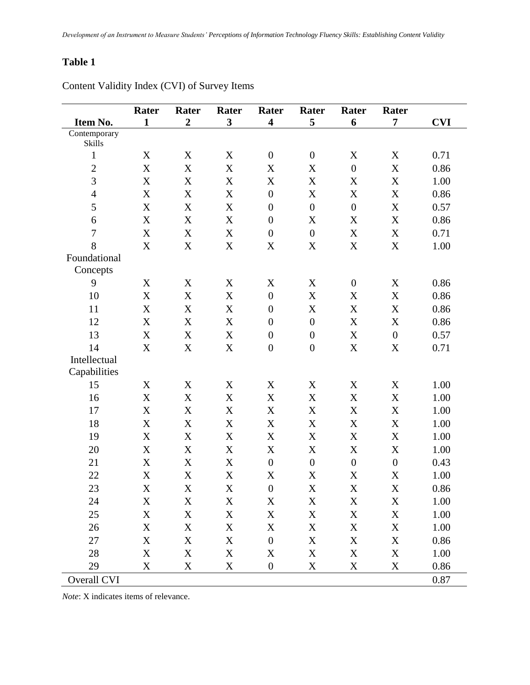# **Table 1**

| Item No.       | Rater<br>$\mathbf{1}$     | Rater<br>$\boldsymbol{2}$ | Rater<br>$\mathbf{3}$     | Rater<br>$\overline{\mathbf{4}}$ | Rater<br>5                | Rater<br>6                | Rater<br>7                | <b>CVI</b> |
|----------------|---------------------------|---------------------------|---------------------------|----------------------------------|---------------------------|---------------------------|---------------------------|------------|
| Contemporary   |                           |                           |                           |                                  |                           |                           |                           |            |
| Skills         |                           |                           |                           |                                  |                           |                           |                           |            |
| $\mathbf{1}$   | $\mathbf X$               | X                         | X                         | $\boldsymbol{0}$                 | $\boldsymbol{0}$          | $\mathbf X$               | X                         | 0.71       |
| $\overline{2}$ | $\mathbf X$               | X                         | $\mathbf X$               | $\boldsymbol{\mathrm{X}}$        | X                         | $\overline{0}$            | $\boldsymbol{\mathrm{X}}$ | 0.86       |
| $\overline{3}$ | $\boldsymbol{\mathrm{X}}$ | X                         | X                         | $\boldsymbol{\mathrm{X}}$        | $\mathbf X$               | $\mathbf X$               | X                         | 1.00       |
| $\overline{4}$ | $\mathbf X$               | X                         | $\mathbf X$               | $\boldsymbol{0}$                 | $\mathbf X$               | $\mathbf X$               | $\boldsymbol{\mathrm{X}}$ | 0.86       |
| 5              | $\mathbf X$               | $\boldsymbol{\mathrm{X}}$ | $\mathbf X$               | $\boldsymbol{0}$                 | $\boldsymbol{0}$          | $\boldsymbol{0}$          | $\boldsymbol{\mathrm{X}}$ | 0.57       |
| 6              | $\mathbf X$               | $\mathbf X$               | $\mathbf X$               | $\boldsymbol{0}$                 | $\mathbf X$               | $\mathbf X$               | X                         | 0.86       |
| $\overline{7}$ | $\boldsymbol{\mathrm{X}}$ | X                         | $\mathbf X$               | $\boldsymbol{0}$                 | $\boldsymbol{0}$          | $\mathbf X$               | $\mathbf X$               | 0.71       |
| 8              | $\mathbf X$               | X                         | X                         | $\mathbf X$                      | $\mathbf X$               | $\mathbf X$               | $\boldsymbol{\mathrm{X}}$ | 1.00       |
| Foundational   |                           |                           |                           |                                  |                           |                           |                           |            |
| Concepts       |                           |                           |                           |                                  |                           |                           |                           |            |
| 9              | $\mathbf X$               | X                         | $\mathbf X$               | $\mathbf X$                      | $\mathbf X$               | $\boldsymbol{0}$          | X                         | 0.86       |
| 10             | $\mathbf X$               | $\boldsymbol{\mathrm{X}}$ | $\mathbf X$               | $\boldsymbol{0}$                 | $\mathbf X$               | X                         | $\mathbf X$               | 0.86       |
| 11             | $\mathbf X$               | X                         | $\mathbf X$               | $\boldsymbol{0}$                 | $\mathbf X$               | $\mathbf X$               | $\boldsymbol{\mathrm{X}}$ | 0.86       |
| 12             | $\mathbf X$               | $\boldsymbol{\mathrm{X}}$ | $\mathbf X$               | $\boldsymbol{0}$                 | $\boldsymbol{0}$          | $\mathbf X$               | $\boldsymbol{\mathrm{X}}$ | 0.86       |
| 13             | $\boldsymbol{\mathrm{X}}$ | $\mathbf X$               | $\mathbf X$               | $\boldsymbol{0}$                 | $\boldsymbol{0}$          | $\mathbf X$               | $\boldsymbol{0}$          | 0.57       |
| 14             | $\mathbf X$               | X                         | $\mathbf X$               | $\boldsymbol{0}$                 | $\boldsymbol{0}$          | $\mathbf X$               | $\boldsymbol{\mathrm{X}}$ | 0.71       |
| Intellectual   |                           |                           |                           |                                  |                           |                           |                           |            |
| Capabilities   |                           |                           |                           |                                  |                           |                           |                           |            |
| 15             | $\mathbf X$               | X                         | X                         | $\mathbf X$                      | X                         | $\mathbf X$               | $\mathbf X$               | 1.00       |
| 16             | $\mathbf X$               | $\boldsymbol{X}$          | $\mathbf X$               | $\mathbf X$                      | $\mathbf X$               | $\mathbf X$               | $\mathbf X$               | 1.00       |
| 17             | $\mathbf X$               | $\mathbf X$               | $\mathbf X$               | $\boldsymbol{\mathrm{X}}$        | $\mathbf X$               | $\mathbf X$               | $\mathbf X$               | 1.00       |
| 18             | $\mathbf X$               | $\mathbf X$               | $\mathbf X$               | $\mathbf X$                      | $\mathbf X$               | $\mathbf X$               | $\mathbf X$               | 1.00       |
| 19             | X                         | $\mathbf X$               | $\boldsymbol{\mathrm{X}}$ | $\boldsymbol{\mathrm{X}}$        | $\mathbf X$               | $\mathbf X$               | $\boldsymbol{\mathrm{X}}$ | 1.00       |
| 20             | $\mathbf X$               | X                         | $\mathbf X$               | $\mathbf X$                      | $\mathbf X$               | $\mathbf X$               | $\boldsymbol{\mathrm{X}}$ | 1.00       |
| 21             | X                         | $\boldsymbol{\mathrm{X}}$ | $\mathbf X$               | $\boldsymbol{0}$                 | $\boldsymbol{0}$          | $\boldsymbol{0}$          | $\overline{0}$            | 0.43       |
| 22             | X                         | $\boldsymbol{\mathrm{X}}$ | $\boldsymbol{\mathrm{X}}$ | $\mathbf X$                      | X                         | X                         | $\boldsymbol{\mathrm{X}}$ | 1.00       |
| 23             | $\mathbf X$               | $\mathbf X$               | $\mathbf X$               | $\boldsymbol{0}$                 | $\boldsymbol{\mathrm{X}}$ | $\boldsymbol{\mathrm{X}}$ | $\boldsymbol{\mathrm{X}}$ | 0.86       |
| 24             | $\mathbf X$               | $\mathbf X$               | $\mathbf X$               | $\mathbf X$                      | $\mathbf X$               | $\mathbf X$               | $\mathbf X$               | 1.00       |
| 25             | $\mathbf X$               | $\mathbf X$               | $\mathbf X$               | $\mathbf X$                      | $\mathbf X$               | $\mathbf X$               | $\mathbf X$               | 1.00       |
| 26             | $\mathbf X$               | $\mathbf X$               | $\mathbf X$               | $\mathbf X$                      | $\mathbf X$               | $\mathbf X$               | $\mathbf X$               | 1.00       |
| 27             | $\mathbf X$               | $\mathbf X$               | $\mathbf X$               | $\boldsymbol{0}$                 | $\mathbf X$               | $\mathbf X$               | $\mathbf X$               | 0.86       |
| 28             | $\mathbf X$               | $\mathbf X$               | $\mathbf X$               | $\mathbf X$                      | $\mathbf X$               | $\mathbf X$               | $\mathbf X$               | 1.00       |
| 29             | $\mathbf X$               | $\mathbf X$               | $\mathbf X$               | $\boldsymbol{0}$                 | $\mathbf X$               | $\mathbf X$               | $\mathbf X$               | 0.86       |
| Overall CVI    |                           |                           |                           |                                  |                           |                           |                           | 0.87       |

Content Validity Index (CVI) of Survey Items

*Note*: X indicates items of relevance.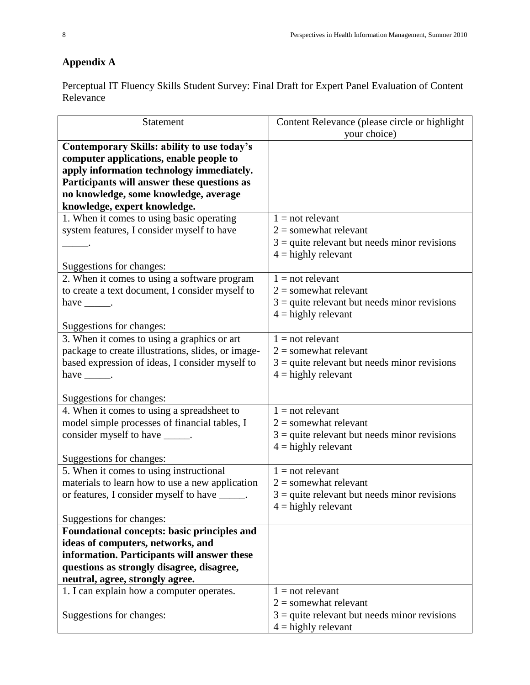# **Appendix A**

Perceptual IT Fluency Skills Student Survey: Final Draft for Expert Panel Evaluation of Content Relevance

| Statement                                                              | Content Relevance (please circle or highlight                           |
|------------------------------------------------------------------------|-------------------------------------------------------------------------|
|                                                                        | your choice)                                                            |
| Contemporary Skills: ability to use today's                            |                                                                         |
| computer applications, enable people to                                |                                                                         |
| apply information technology immediately.                              |                                                                         |
| Participants will answer these questions as                            |                                                                         |
| no knowledge, some knowledge, average                                  |                                                                         |
| knowledge, expert knowledge.                                           |                                                                         |
| 1. When it comes to using basic operating                              | $1 = not$ relevant                                                      |
| system features, I consider myself to have                             | $2 =$ somewhat relevant                                                 |
|                                                                        | $3$ = quite relevant but needs minor revisions<br>$4 =$ highly relevant |
| Suggestions for changes:                                               |                                                                         |
| 2. When it comes to using a software program                           | $1 = not$ relevant                                                      |
| to create a text document, I consider myself to                        | $2 =$ somewhat relevant                                                 |
| have $\_\_\_\$ .                                                       | $3$ = quite relevant but needs minor revisions                          |
|                                                                        | $4 =$ highly relevant                                                   |
| Suggestions for changes:                                               |                                                                         |
| 3. When it comes to using a graphics or art                            | $1 = not$ relevant                                                      |
| package to create illustrations, slides, or image-                     | $2 =$ somewhat relevant                                                 |
| based expression of ideas, I consider myself to                        | $3$ = quite relevant but needs minor revisions                          |
| have $\_\_\_\$ .                                                       | $4 =$ highly relevant                                                   |
|                                                                        |                                                                         |
| Suggestions for changes:<br>4. When it comes to using a spreadsheet to | $1 = not$ relevant                                                      |
| model simple processes of financial tables, I                          | $2 =$ somewhat relevant                                                 |
| consider myself to have ______.                                        | $3$ = quite relevant but needs minor revisions                          |
|                                                                        | $4 =$ highly relevant                                                   |
| Suggestions for changes:                                               |                                                                         |
| 5. When it comes to using instructional                                | $1 = not$ relevant                                                      |
| materials to learn how to use a new application                        | $2 =$ somewhat relevant                                                 |
| or features, I consider myself to have ______.                         | $3$ = quite relevant but needs minor revisions                          |
|                                                                        | $4 =$ highly relevant                                                   |
| Suggestions for changes:                                               |                                                                         |
| Foundational concepts: basic principles and                            |                                                                         |
| ideas of computers, networks, and                                      |                                                                         |
| information. Participants will answer these                            |                                                                         |
| questions as strongly disagree, disagree,                              |                                                                         |
| neutral, agree, strongly agree.                                        |                                                                         |
| 1. I can explain how a computer operates.                              | $1 = not$ relevant                                                      |
|                                                                        | $2 =$ somewhat relevant                                                 |
| Suggestions for changes:                                               | $3$ = quite relevant but needs minor revisions                          |
|                                                                        | $4 =$ highly relevant                                                   |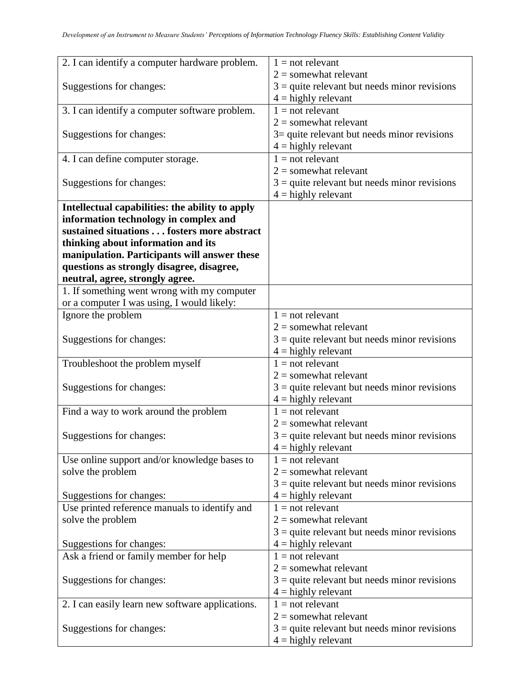|                                                  | $1 = not$ relevant                             |
|--------------------------------------------------|------------------------------------------------|
| 2. I can identify a computer hardware problem.   |                                                |
|                                                  | $2 =$ somewhat relevant                        |
| Suggestions for changes:                         | $3$ = quite relevant but needs minor revisions |
|                                                  | $4 =$ highly relevant                          |
| 3. I can identify a computer software problem.   | $1 = not$ relevant                             |
|                                                  | $2 =$ somewhat relevant                        |
| Suggestions for changes:                         | $3$ = quite relevant but needs minor revisions |
|                                                  | $4 =$ highly relevant                          |
| 4. I can define computer storage.                | $1 = not$ relevant                             |
|                                                  | $2 =$ somewhat relevant                        |
| Suggestions for changes:                         | $3$ = quite relevant but needs minor revisions |
|                                                  | $4 =$ highly relevant                          |
| Intellectual capabilities: the ability to apply  |                                                |
| information technology in complex and            |                                                |
| sustained situations fosters more abstract       |                                                |
| thinking about information and its               |                                                |
| manipulation. Participants will answer these     |                                                |
| questions as strongly disagree, disagree,        |                                                |
| neutral, agree, strongly agree.                  |                                                |
| 1. If something went wrong with my computer      |                                                |
| or a computer I was using, I would likely:       |                                                |
| Ignore the problem                               | $1 = not$ relevant                             |
|                                                  | $2 =$ somewhat relevant                        |
| Suggestions for changes:                         | $3$ = quite relevant but needs minor revisions |
|                                                  | $4 =$ highly relevant                          |
|                                                  | $1 = not$ relevant                             |
| Troubleshoot the problem myself                  | $2 =$ somewhat relevant                        |
|                                                  |                                                |
| Suggestions for changes:                         | $3$ = quite relevant but needs minor revisions |
|                                                  | $4 =$ highly relevant                          |
| Find a way to work around the problem            | $1 = not$ relevant                             |
|                                                  | $2 =$ somewhat relevant                        |
| Suggestions for changes:                         | $3$ = quite relevant but needs minor revisions |
|                                                  | $4 =$ highly relevant                          |
| Use online support and/or knowledge bases to     | $1 = not$ relevant                             |
| solve the problem                                | $2 =$ somewhat relevant                        |
|                                                  | $3$ = quite relevant but needs minor revisions |
| Suggestions for changes:                         | $4 =$ highly relevant                          |
| Use printed reference manuals to identify and    | $1 = not$ relevant                             |
| solve the problem                                | $2 =$ somewhat relevant                        |
|                                                  | $3$ = quite relevant but needs minor revisions |
| Suggestions for changes:                         | $4 =$ highly relevant                          |
| Ask a friend or family member for help           | $1 = not$ relevant                             |
|                                                  | $2 =$ somewhat relevant                        |
| Suggestions for changes:                         | $3$ = quite relevant but needs minor revisions |
|                                                  | $4 =$ highly relevant                          |
| 2. I can easily learn new software applications. | $1 = not$ relevant                             |
|                                                  | $2 =$ somewhat relevant                        |
| Suggestions for changes:                         | $3$ = quite relevant but needs minor revisions |
|                                                  | $4 =$ highly relevant                          |